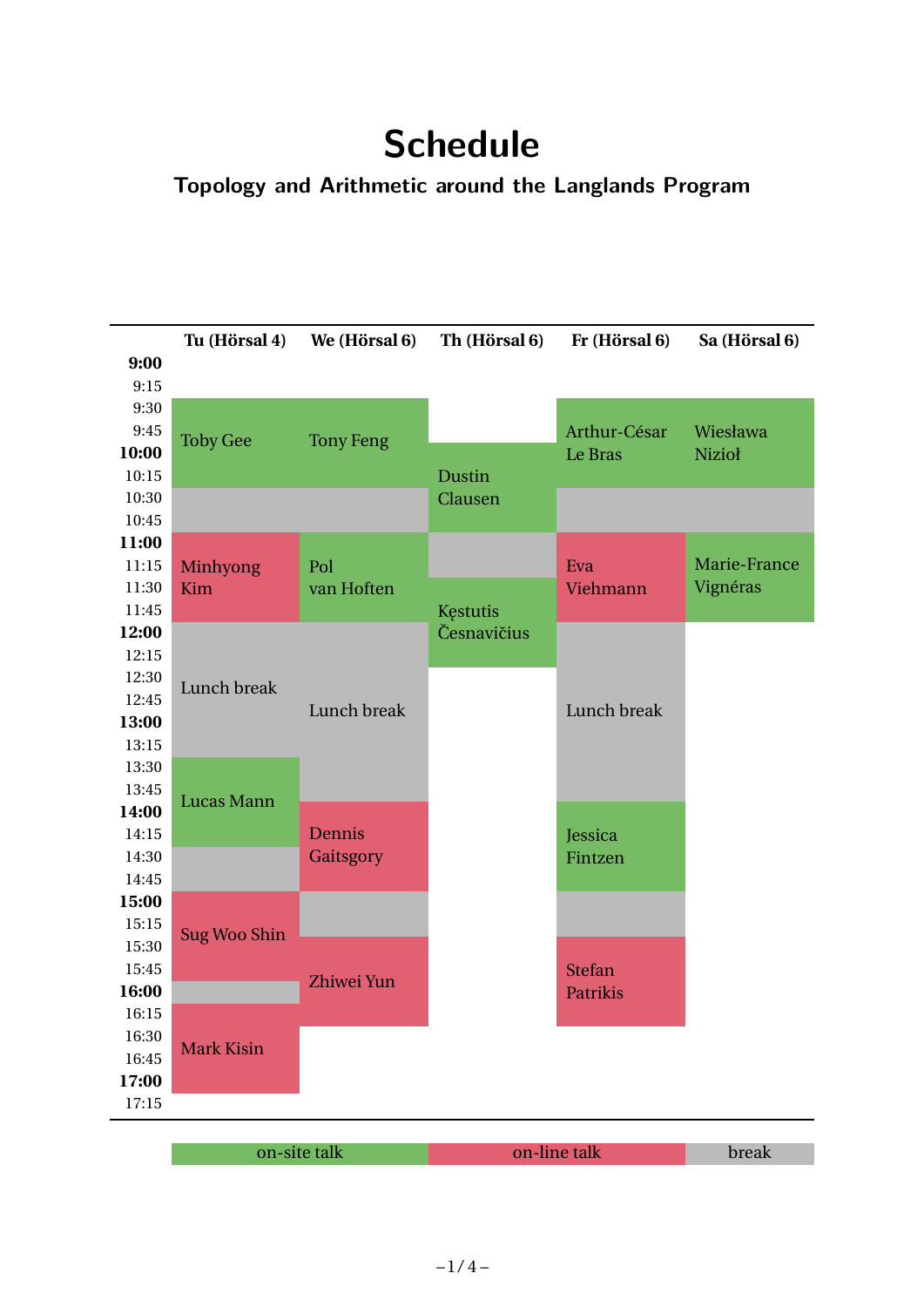# **Schedule**

# **Topology and Arithmetic around the Langlands Program**

|                | Tu (Hörsal 4)       | We (Hörsal 6)    | Th (Hörsal 6) | Fr (Hörsal 6)      | Sa (Hörsal 6) |
|----------------|---------------------|------------------|---------------|--------------------|---------------|
| 9:00           |                     |                  |               |                    |               |
| 9:15           |                     |                  |               |                    |               |
| 9:30           |                     |                  |               |                    |               |
| 9:45           | <b>Toby Gee</b>     | <b>Tony Feng</b> |               | Arthur-César       | Wiesława      |
| 10:00          |                     |                  |               | Le Bras            | <b>Nizioł</b> |
| 10:15          |                     |                  | <b>Dustin</b> |                    |               |
| 10:30          |                     |                  | Clausen       |                    |               |
| 10:45          |                     |                  |               |                    |               |
| 11:00          |                     |                  |               |                    |               |
| 11:15          | <b>Minhyong</b>     | Pol              |               | Eva                | Marie-France  |
| 11:30          | Kim                 | van Hoften       |               | Viehmann           | Vignéras      |
| 11:45          |                     |                  | Kęstutis      |                    |               |
| 12:00          |                     |                  | Česnavičius   |                    |               |
| 12:15          |                     |                  |               |                    |               |
| 12:30          | Lunch break         |                  |               |                    |               |
| 12:45          |                     | Lunch break      |               | Lunch break        |               |
| 13:00          |                     |                  |               |                    |               |
| 13:15          |                     |                  |               |                    |               |
| 13:30          |                     |                  |               |                    |               |
| 13:45<br>14:00 | Lucas Mann          |                  |               |                    |               |
| 14:15          |                     | Dennis           |               |                    |               |
| 14:30          |                     | Gaitsgory        |               | Jessica<br>Fintzen |               |
| 14:45          |                     |                  |               |                    |               |
| 15:00          |                     |                  |               |                    |               |
| 15:15          |                     |                  |               |                    |               |
| 15:30          | <b>Sug Woo Shin</b> |                  |               |                    |               |
| 15:45          |                     |                  |               | <b>Stefan</b>      |               |
| 16:00          |                     | Zhiwei Yun       |               | <b>Patrikis</b>    |               |
| 16:15          |                     |                  |               |                    |               |
| 16:30          |                     |                  |               |                    |               |
| 16:45          | <b>Mark Kisin</b>   |                  |               |                    |               |
| 17:00          |                     |                  |               |                    |               |
| 17:15          |                     |                  |               |                    |               |
|                |                     |                  |               |                    |               |
|                | on-site talk        |                  | on-line talk  |                    | break         |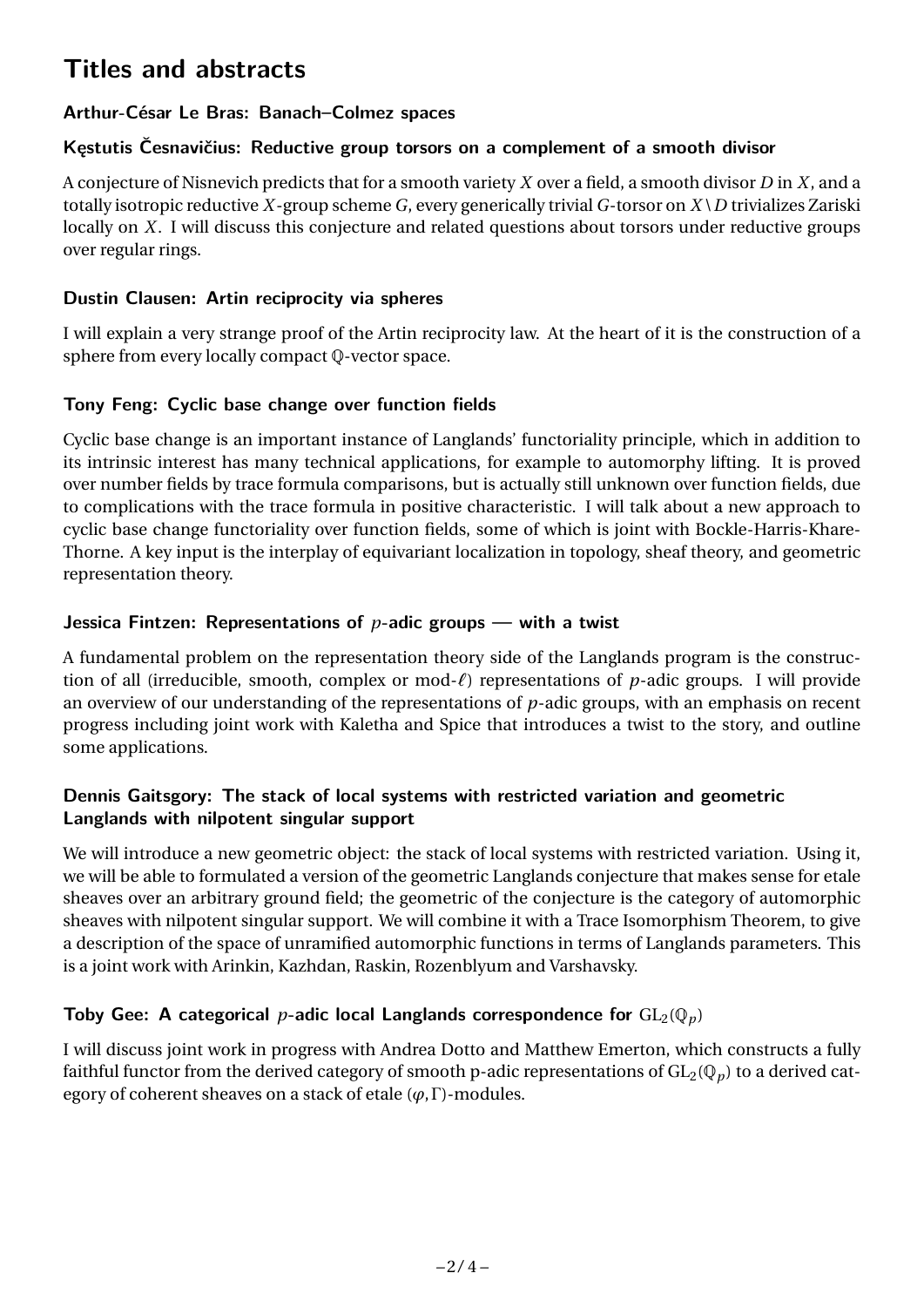# **Titles and abstracts**

# **Arthur-César Le Bras: Banach–Colmez spaces**

### **Kęstutis Česnavičius: Reductive group torsors on a complement of a smooth divisor**

A conjecture of Nisnevich predicts that for a smooth variety *X* over a field, a smooth divisor *D* in *X*, and a totally isotropic reductive *X*-group scheme *G*, every generically trivial *G*-torsor on *X* \*D* trivializes Zariski locally on *X*. I will discuss this conjecture and related questions about torsors under reductive groups over regular rings.

### **Dustin Clausen: Artin reciprocity via spheres**

I will explain a very strange proof of the Artin reciprocity law. At the heart of it is the construction of a sphere from every locally compact Q-vector space.

# **Tony Feng: Cyclic base change over function fields**

Cyclic base change is an important instance of Langlands' functoriality principle, which in addition to its intrinsic interest has many technical applications, for example to automorphy lifting. It is proved over number fields by trace formula comparisons, but is actually still unknown over function fields, due to complications with the trace formula in positive characteristic. I will talk about a new approach to cyclic base change functoriality over function fields, some of which is joint with Bockle-Harris-Khare-Thorne. A key input is the interplay of equivariant localization in topology, sheaf theory, and geometric representation theory.

# **Jessica Fintzen: Representations of** *p***-adic groups — with a twist**

A fundamental problem on the representation theory side of the Langlands program is the construction of all (irreducible, smooth, complex or mod- $\ell$ ) representations of  $p$ -adic groups. I will provide an overview of our understanding of the representations of *p*-adic groups, with an emphasis on recent progress including joint work with Kaletha and Spice that introduces a twist to the story, and outline some applications.

#### **Dennis Gaitsgory: The stack of local systems with restricted variation and geometric Langlands with nilpotent singular support**

We will introduce a new geometric object: the stack of local systems with restricted variation. Using it, we will be able to formulated a version of the geometric Langlands conjecture that makes sense for etale sheaves over an arbitrary ground field; the geometric of the conjecture is the category of automorphic sheaves with nilpotent singular support. We will combine it with a Trace Isomorphism Theorem, to give a description of the space of unramified automorphic functions in terms of Langlands parameters. This is a joint work with Arinkin, Kazhdan, Raskin, Rozenblyum and Varshavsky.

# **Toby Gee: A categorical** *p***-adic local Langlands correspondence for**  $GL_2(\mathbb{Q}_p)$

I will discuss joint work in progress with Andrea Dotto and Matthew Emerton, which constructs a fully faithful functor from the derived category of smooth p-adic representations of  $GL_2(\mathbb{Q}_p)$  to a derived category of coherent sheaves on a stack of etale (*ϕ*,Γ)-modules.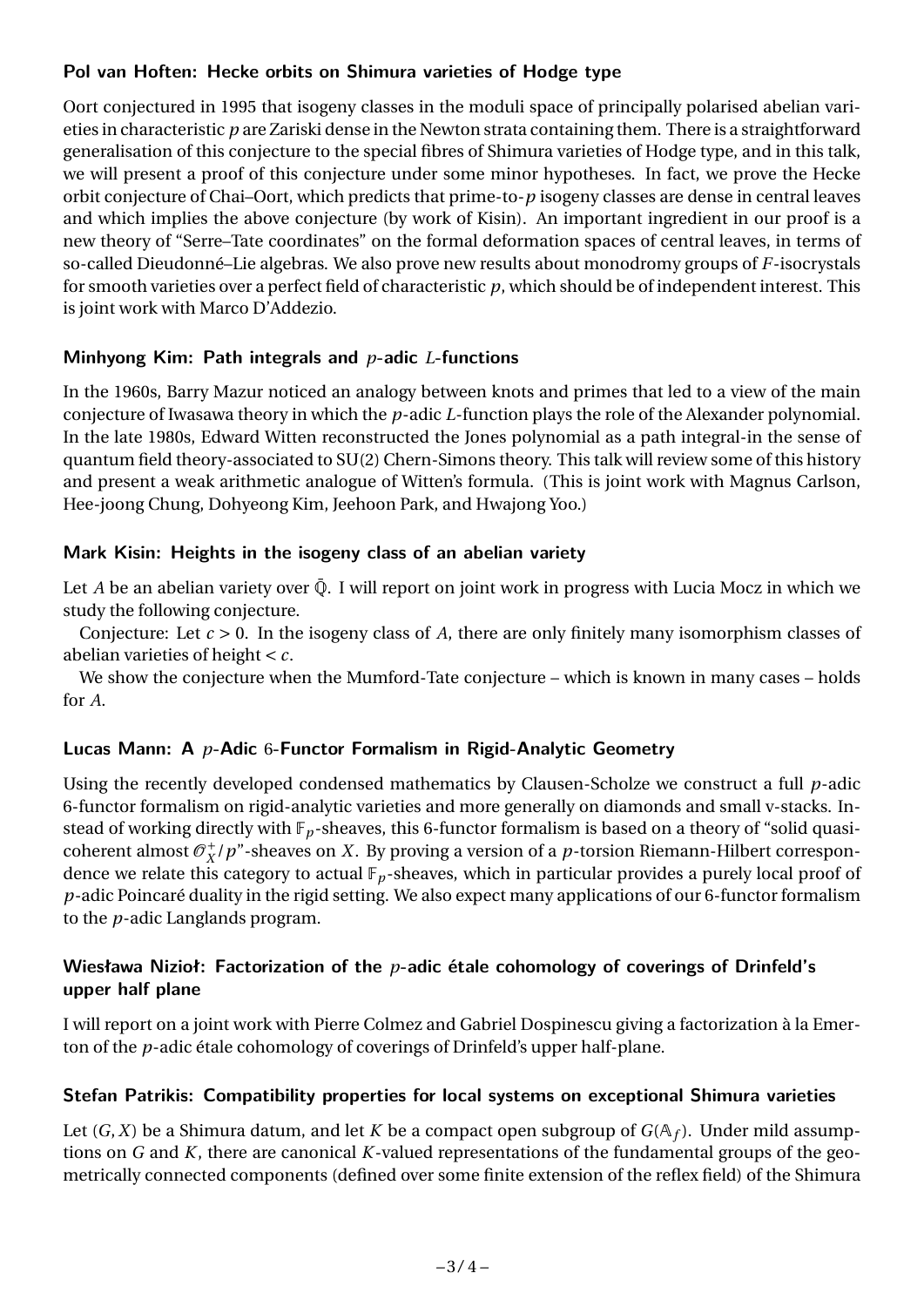#### **Pol van Hoften: Hecke orbits on Shimura varieties of Hodge type**

Oort conjectured in 1995 that isogeny classes in the moduli space of principally polarised abelian varieties in characteristic *p* are Zariski dense in the Newton strata containing them. There is a straightforward generalisation of this conjecture to the special fibres of Shimura varieties of Hodge type, and in this talk, we will present a proof of this conjecture under some minor hypotheses. In fact, we prove the Hecke orbit conjecture of Chai–Oort, which predicts that prime-to-*p* isogeny classes are dense in central leaves and which implies the above conjecture (by work of Kisin). An important ingredient in our proof is a new theory of "Serre–Tate coordinates" on the formal deformation spaces of central leaves, in terms of so-called Dieudonné–Lie algebras. We also prove new results about monodromy groups of *F*-isocrystals for smooth varieties over a perfect field of characteristic *p*, which should be of independent interest. This is joint work with Marco D'Addezio.

#### **Minhyong Kim: Path integrals and** *p***-adic** *L***-functions**

In the 1960s, Barry Mazur noticed an analogy between knots and primes that led to a view of the main conjecture of Iwasawa theory in which the *p*-adic *L*-function plays the role of the Alexander polynomial. In the late 1980s, Edward Witten reconstructed the Jones polynomial as a path integral-in the sense of quantum field theory-associated to SU(2) Chern-Simons theory. This talk will review some of this history and present a weak arithmetic analogue of Witten's formula. (This is joint work with Magnus Carlson, Hee-joong Chung, Dohyeong Kim, Jeehoon Park, and Hwajong Yoo.)

#### **Mark Kisin: Heights in the isogeny class of an abelian variety**

Let *A* be an abelian variety over  $\overline{Q}$ . I will report on joint work in progress with Lucia Mocz in which we study the following conjecture.

Conjecture: Let *c* > 0. In the isogeny class of *A*, there are only finitely many isomorphism classes of abelian varieties of height < *c*.

We show the conjecture when the Mumford-Tate conjecture – which is known in many cases – holds for *A*.

#### **Lucas Mann: A** *p***-Adic** 6**-Functor Formalism in Rigid-Analytic Geometry**

Using the recently developed condensed mathematics by Clausen-Scholze we construct a full *p*-adic 6-functor formalism on rigid-analytic varieties and more generally on diamonds and small v-stacks. Instead of working directly with F*p*-sheaves, this 6-functor formalism is based on a theory of "solid quasicoherent almost  $\mathcal{O}_X^+$ *X* /*p*"-sheaves on *X*. By proving a version of a *p*-torsion Riemann-Hilbert correspondence we relate this category to actual  $\mathbb{F}_p$ -sheaves, which in particular provides a purely local proof of *p*-adic Poincaré duality in the rigid setting. We also expect many applications of our 6-functor formalism to the *p*-adic Langlands program.

#### **Wiesława Nizioł: Factorization of the** *p***-adic étale cohomology of coverings of Drinfeld's upper half plane**

I will report on a joint work with Pierre Colmez and Gabriel Dospinescu giving a factorization à la Emerton of the *p*-adic étale cohomology of coverings of Drinfeld's upper half-plane.

#### **Stefan Patrikis: Compatibility properties for local systems on exceptional Shimura varieties**

Let (*G*,*X*) be a Shimura datum, and let *K* be a compact open subgroup of *G*(A*<sup>f</sup>* ). Under mild assumptions on *G* and *K*, there are canonical *K*-valued representations of the fundamental groups of the geometrically connected components (defined over some finite extension of the reflex field) of the Shimura